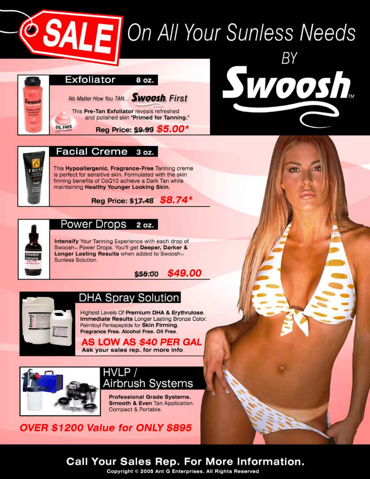# **SALE** On All Your Sunless Needs



Swoosh.



#### **Facial Creme** 3 oz.

This Hypoallergenic, Fragrance-Free Tanning creme is perfect for sensitive skin. Formulated with the skin firming benefits of CoQ10 achieve a Dark Tan while maintaining Healthy Younger Looking Skin.





#### Power Drops 2 oz.

Intensify Your Tanning Experience with each drop of Swoosh M Power Drops. You'll get Deeper, Darker & Longer Lasting Results when added to Swooshm Sunless Solution.





# **DHA Spray Solution**

Highest Levels Of Premium DHA & Erythrulose. Immediate Results Longer Lasting Bronze Color. Palmitoyl Pentapeptide for Skin Firming. Fragrance Free. Alcohol Free. Oil Free.

AS LOW AS \$40 PER GAL Ask your sales rep. for more info



# HVLP / Airbrush Systems

Professional Grade Systems. Smooth & Even Tan Application. Compact & Portable.

OVER \$1200 Value for ONLY \$895

# **Call Your Sales Rep. For More Information.**

Copyright © 2005 Ant G Enterprises. All Rights Reserved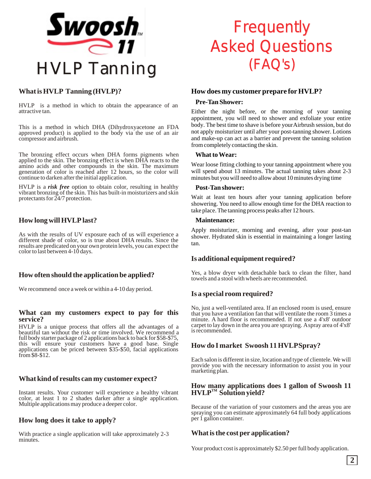

#### **What is HVLP Tanning (HVLP)?**

HVLP is a method in which to obtain the appearance of an attractive tan.

This is a method in which DHA (Dihydroxyacetone an FDA approved product) is applied to the body via the use of an air compressor and airbrush.

The bronzing effect occurs when DHA forms pigments when applied to the skin. The bronzing effect is when DHA reacts to the amino acids and other compounds in the skin. The maximum generation of color is reached after 12 hours, so the color will continue to darken after the initial application.

HVLP is a *risk free* option to obtain color, resulting in healthy vibrant bronzing of the skin. This has built-in moisturizers and skin protectants for  $24/7$  protection.

#### **How long will HVLP last?**

As with the results of UV exposure each of us will experience a different shade of color, so is true about DHA results. Since the results are predicated on your own protein levels, you can expect the color to last between 4-10 days.

#### **How often should the application be applied?**

We recommend once a week or within a 4-10 day period.

#### **What can my customers expect to pay for this service?**

HVLP is a unique process that offers all the advantages of a beautiful tan without the risk or time involved. We recommend a full body starter package of 2 applications back to back for \$58-\$75, this will ensure your customers have a good base. Single applications can be priced between \$35-\$50, facial applications from \$8-\$12.

#### **What kind of results can my customer expect?**

Instant results. Your customer will experience a healthy vibrant color, at least 1 to 2 shades darker after a single application. Multiple applications may produce a deeper color.

#### **How long does it take to apply?**

With practice a single application will take approximately 2-3 minutes.

# **Frequently** Asked Questions (FAQ's)

#### **How does my customer prepare for HVLP?**

#### **Pre-Tan Shower:**

Either the night before, or the morning of your tanning appointment, you will need to shower and exfoliate your entire body. The best time to shave is before your Airbrush session, but do not apply moisturizer until after your post-tanning shower. Lotions and make-up can act as a barrier and prevent the tanning solution from completely contacting the skin.

#### **What to Wear:**

Wear loose fitting clothing to your tanning appointment where you will spend about 13 minutes. The actual tanning takes about 2-3 minutes but you will need to allow about 10 minutes drying time

#### **Post-Tan shower:**

Wait at least ten hours after your tanning application before showering. You need to allow enough time for the DHA reaction to take place. The tanning process peaks after 12 hours.

#### **Maintenance:**

Apply moisturizer, morning and evening, after your post-tan shower. Hydrated skin is essential in maintaining a longer lasting tan.

#### **Is additional equipment required?**

Yes, a blow dryer with detachable back to clean the filter, hand towels and a stool with wheels are recommended.

#### **Is a special room required?**

No, just a well-ventilated area. If an enclosed room is used, ensure that you have a ventilation fan that will ventilate the room 3 times a minute. A hard floor is recommended. If not use a 4'x8' outdoor carpet to lay down in the area you are spraying. A spray area of 4'x8' is recommended.

#### **How do I market Swoosh 11 HVLP Spray?**

Each salon is different in size, location and type of clientele. We will provide you with the necessary information to assist you in your marketing plan.

#### **How many applications does 1 gallon of Swoosh 11**   $HVLP<sup>TM</sup>$  Solution yield?

Because of the variation of your customers and the areas you are spraying you can estimate approximately 64 full body applications per 1 gallon container.

#### **What is the cost per application?**

Your product cost is approximately \$2.50 per full body application.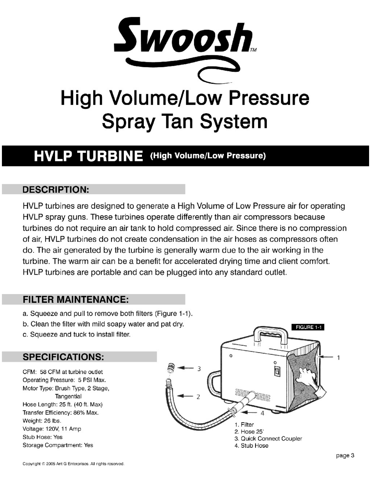

# HVLP TURBINE (High Volume/Low Pressure)

### **DESCRIPTION:**

HVLP turbines are designed to generate a High Volume of Low Pressure air for operating HVLP spray guns. These turbines operate differently than air compressors because turbines do not require an air tank to hold compressed air. Since there is no compression of air, HVLP turbines do not create condensation in the air hoses as compressors often do. The air generated by the turbine is generally warm due to the air working in the turbine. The warm air can be a benefit for accelerated drying time and client comfort. HVLP turbines are portable and can be plugged into any standard outlet.

## **FILTER MAINTENANCE:**

- a. Squeeze and pull to remove both filters (Figure 1-1).
- b. Clean the filter with mild soapy water and pat dry.
- c. Squeeze and tuck to install filter.

## **SPECIFICATIONS:**

CFM: 58 CFM at turbine outlet Operating Pressure: 5 PSI Max. Motor Type: Brush Type, 2 Stage, Tangential Hose Length: 25 ft. (40 ft. Max) Transfer Efficiency: 86% Max. Weight: 26 lbs. Voltage: 120V, 11 Amp Stub Hose: Yes Storage Compartment: Yes